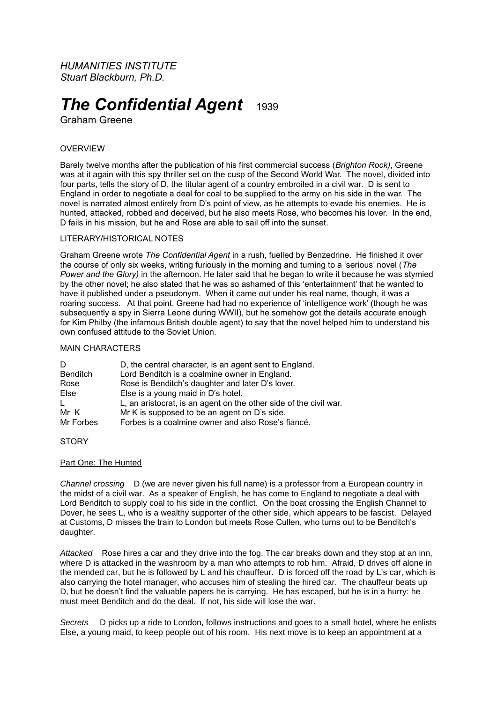*HUMANITIES INSTITUTE Stuart Blackburn, Ph.D.*

# *The Confidential Agent* **1939**

Graham Greene

## **OVERVIEW**

Barely twelve months after the publication of his first commercial success (*Brighton Rock)*, Greene was at it again with this spy thriller set on the cusp of the Second World War. The novel, divided into four parts, tells the story of D, the titular agent of a country embroiled in a civil war. D is sent to England in order to negotiate a deal for coal to be supplied to the army on his side in the war. The novel is narrated almost entirely from D's point of view, as he attempts to evade his enemies. He is hunted, attacked, robbed and deceived, but he also meets Rose, who becomes his lover. In the end, D fails in his mission, but he and Rose are able to sail off into the sunset.

### LITERARY/HISTORICAL NOTES

Graham Greene wrote *The Confidential Agent* in a rush, fuelled by Benzedrine. He finished it over the course of only six weeks, writing furiously in the morning and turning to a 'serious' novel (*The Power and the Glory)* in the afternoon. He later said that he began to write it because he was stymied by the other novel; he also stated that he was so ashamed of this 'entertainment' that he wanted to have it published under a pseudonym. When it came out under his real name, though, it was a roaring success. At that point, Greene had had no experience of 'intelligence work' (though he was subsequently a spy in Sierra Leone during WWII), but he somehow got the details accurate enough for Kim Philby (the infamous British double agent) to say that the novel helped him to understand his own confused attitude to the Soviet Union.

## MAIN CHARACTERS

| D               | D, the central character, is an agent sent to England.            |
|-----------------|-------------------------------------------------------------------|
| <b>Benditch</b> | Lord Benditch is a coalmine owner in England.                     |
| Rose            | Rose is Benditch's daughter and later D's lover.                  |
| Else            | Else is a young maid in D's hotel.                                |
| L               | L, an aristocrat, is an agent on the other side of the civil war. |
| Mr K            | Mr K is supposed to be an agent on D's side.                      |
| Mr Forbes       | Forbes is a coalmine owner and also Rose's fiancé.                |

#### **STORY**

#### Part One: The Hunted

*Channel crossing* D (we are never given his full name) is a professor from a European country in the midst of a civil war. As a speaker of English, he has come to England to negotiate a deal with Lord Benditch to supply coal to his side in the conflict. On the boat crossing the English Channel to Dover, he sees L, who is a wealthy supporter of the other side, which appears to be fascist. Delayed at Customs, D misses the train to London but meets Rose Cullen, who turns out to be Benditch's daughter.

*Attacked* Rose hires a car and they drive into the fog. The car breaks down and they stop at an inn, where D is attacked in the washroom by a man who attempts to rob him. Afraid, D drives off alone in the mended car, but he is followed by L and his chauffeur. D is forced off the road by L's car, which is also carrying the hotel manager, who accuses him of stealing the hired car. The chauffeur beats up D, but he doesn't find the valuable papers he is carrying. He has escaped, but he is in a hurry: he must meet Benditch and do the deal. If not, his side will lose the war.

*Secrets* D picks up a ride to London, follows instructions and goes to a small hotel, where he enlists Else, a young maid, to keep people out of his room. His next move is to keep an appointment at a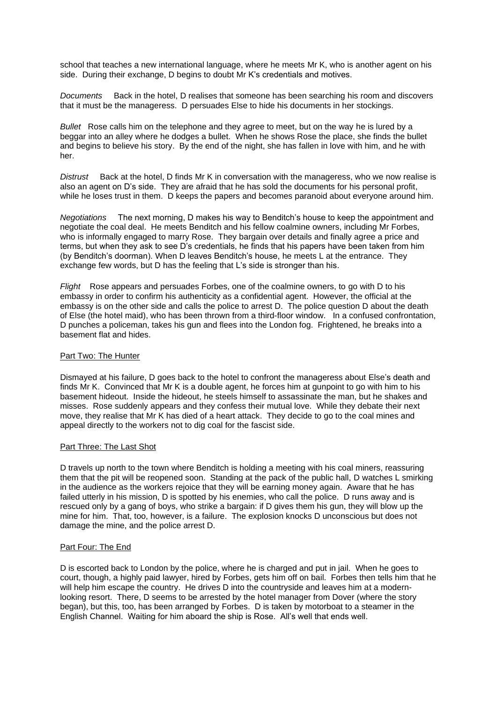school that teaches a new international language, where he meets Mr K, who is another agent on his side. During their exchange, D begins to doubt Mr K's credentials and motives.

*Documents* Back in the hotel, D realises that someone has been searching his room and discovers that it must be the manageress. D persuades Else to hide his documents in her stockings.

*Bullet* Rose calls him on the telephone and they agree to meet, but on the way he is lured by a beggar into an alley where he dodges a bullet. When he shows Rose the place, she finds the bullet and begins to believe his story. By the end of the night, she has fallen in love with him, and he with her.

*Distrust* Back at the hotel, D finds Mr K in conversation with the manageress, who we now realise is also an agent on D's side. They are afraid that he has sold the documents for his personal profit, while he loses trust in them. D keeps the papers and becomes paranoid about everyone around him.

*Negotiations* The next morning, D makes his way to Benditch's house to keep the appointment and negotiate the coal deal. He meets Benditch and his fellow coalmine owners, including Mr Forbes, who is informally engaged to marry Rose. They bargain over details and finally agree a price and terms, but when they ask to see D's credentials, he finds that his papers have been taken from him (by Benditch's doorman). When D leaves Benditch's house, he meets L at the entrance. They exchange few words, but D has the feeling that L's side is stronger than his.

*Flight* Rose appears and persuades Forbes, one of the coalmine owners, to go with D to his embassy in order to confirm his authenticity as a confidential agent. However, the official at the embassy is on the other side and calls the police to arrest D. The police question D about the death of Else (the hotel maid), who has been thrown from a third-floor window. In a confused confrontation, D punches a policeman, takes his gun and flees into the London fog. Frightened, he breaks into a basement flat and hides.

#### Part Two: The Hunter

Dismayed at his failure, D goes back to the hotel to confront the manageress about Else's death and finds Mr K. Convinced that Mr K is a double agent, he forces him at gunpoint to go with him to his basement hideout. Inside the hideout, he steels himself to assassinate the man, but he shakes and misses. Rose suddenly appears and they confess their mutual love. While they debate their next move, they realise that Mr K has died of a heart attack. They decide to go to the coal mines and appeal directly to the workers not to dig coal for the fascist side.

#### Part Three: The Last Shot

D travels up north to the town where Benditch is holding a meeting with his coal miners, reassuring them that the pit will be reopened soon. Standing at the pack of the public hall, D watches L smirking in the audience as the workers rejoice that they will be earning money again. Aware that he has failed utterly in his mission, D is spotted by his enemies, who call the police. D runs away and is rescued only by a gang of boys, who strike a bargain: if D gives them his gun, they will blow up the mine for him. That, too, however, is a failure. The explosion knocks D unconscious but does not damage the mine, and the police arrest D.

#### Part Four: The End

D is escorted back to London by the police, where he is charged and put in jail. When he goes to court, though, a highly paid lawyer, hired by Forbes, gets him off on bail. Forbes then tells him that he will help him escape the country. He drives D into the countryside and leaves him at a modernlooking resort. There, D seems to be arrested by the hotel manager from Dover (where the story began), but this, too, has been arranged by Forbes. D is taken by motorboat to a steamer in the English Channel. Waiting for him aboard the ship is Rose. All's well that ends well.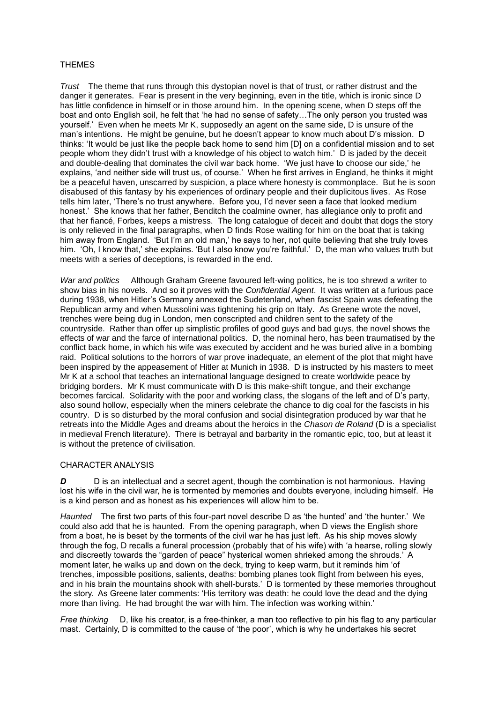## THEMES

*Trust* The theme that runs through this dystopian novel is that of trust, or rather distrust and the danger it generates. Fear is present in the very beginning, even in the title, which is ironic since D has little confidence in himself or in those around him. In the opening scene, when D steps off the boat and onto English soil, he felt that 'he had no sense of safety…The only person you trusted was yourself.' Even when he meets Mr K, supposedly an agent on the same side, D is unsure of the man's intentions. He might be genuine, but he doesn't appear to know much about D's mission. D thinks: 'It would be just like the people back home to send him [D] on a confidential mission and to set people whom they didn't trust with a knowledge of his object to watch him.' D is jaded by the deceit and double-dealing that dominates the civil war back home. 'We just have to choose our side,' he explains, 'and neither side will trust us, of course.' When he first arrives in England, he thinks it might be a peaceful haven, unscarred by suspicion, a place where honesty is commonplace. But he is soon disabused of this fantasy by his experiences of ordinary people and their duplicitous lives. As Rose tells him later, 'There's no trust anywhere. Before you, I'd never seen a face that looked medium honest.' She knows that her father, Benditch the coalmine owner, has allegiance only to profit and that her fiancé, Forbes, keeps a mistress. The long catalogue of deceit and doubt that dogs the story is only relieved in the final paragraphs, when D finds Rose waiting for him on the boat that is taking him away from England. 'But I'm an old man,' he says to her, not quite believing that she truly loves him. 'Oh, I know that,' she explains. 'But I also know you're faithful.' D, the man who values truth but meets with a series of deceptions, is rewarded in the end.

*War and politics* Although Graham Greene favoured left-wing politics, he is too shrewd a writer to show bias in his novels. And so it proves with the *Confidential Agent*. It was written at a furious pace during 1938, when Hitler's Germany annexed the Sudetenland, when fascist Spain was defeating the Republican army and when Mussolini was tightening his grip on Italy. As Greene wrote the novel, trenches were being dug in London, men conscripted and children sent to the safety of the countryside. Rather than offer up simplistic profiles of good guys and bad guys, the novel shows the effects of war and the farce of international politics. D, the nominal hero, has been traumatised by the conflict back home, in which his wife was executed by accident and he was buried alive in a bombing raid. Political solutions to the horrors of war prove inadequate, an element of the plot that might have been inspired by the appeasement of Hitler at Munich in 1938. D is instructed by his masters to meet Mr K at a school that teaches an international language designed to create worldwide peace by bridging borders. Mr K must communicate with D is this make-shift tongue, and their exchange becomes farcical. Solidarity with the poor and working class, the slogans of the left and of D's party, also sound hollow, especially when the miners celebrate the chance to dig coal for the fascists in his country. D is so disturbed by the moral confusion and social disintegration produced by war that he retreats into the Middle Ages and dreams about the heroics in the *Chason de Roland* (D is a specialist in medieval French literature). There is betrayal and barbarity in the romantic epic, too, but at least it is without the pretence of civilisation.

## CHARACTER ANALYSIS

**D** D is an intellectual and a secret agent, though the combination is not harmonious. Having lost his wife in the civil war, he is tormented by memories and doubts everyone, including himself. He is a kind person and as honest as his experiences will allow him to be.

*Haunted* The first two parts of this four-part novel describe D as 'the hunted' and 'the hunter.' We could also add that he is haunted. From the opening paragraph, when D views the English shore from a boat, he is beset by the torments of the civil war he has just left. As his ship moves slowly through the fog, D recalls a funeral procession (probably that of his wife) with 'a hearse, rolling slowly and discreetly towards the "garden of peace" hysterical women shrieked among the shrouds.' A moment later, he walks up and down on the deck, trying to keep warm, but it reminds him 'of trenches, impossible positions, salients, deaths: bombing planes took flight from between his eyes, and in his brain the mountains shook with shell-bursts.' D is tormented by these memories throughout the story. As Greene later comments: 'His territory was death: he could love the dead and the dying more than living. He had brought the war with him. The infection was working within.'

*Free thinking* D, like his creator, is a free-thinker, a man too reflective to pin his flag to any particular mast. Certainly, D is committed to the cause of 'the poor', which is why he undertakes his secret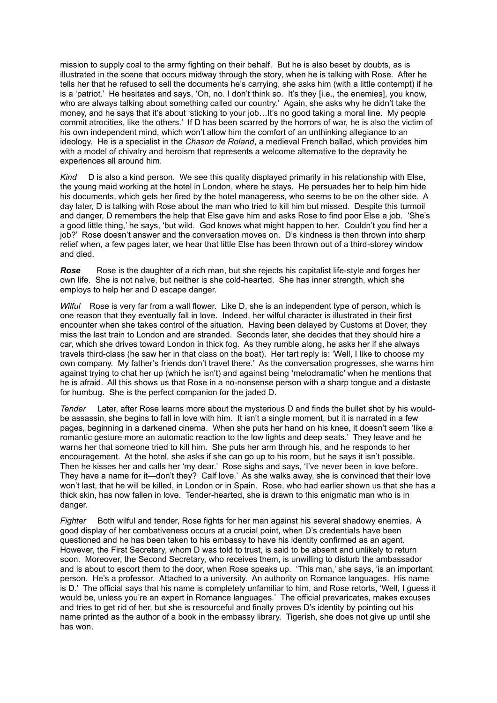mission to supply coal to the army fighting on their behalf. But he is also beset by doubts, as is illustrated in the scene that occurs midway through the story, when he is talking with Rose. After he tells her that he refused to sell the documents he's carrying, she asks him (with a little contempt) if he is a 'patriot.' He hesitates and says, 'Oh, no. I don't think so. It's they [i.e., the enemies], you know, who are always talking about something called our country.' Again, she asks why he didn't take the money, and he says that it's about 'sticking to your job…It's no good taking a moral line. My people commit atrocities, like the others.' If D has been scarred by the horrors of war, he is also the victim of his own independent mind, which won't allow him the comfort of an unthinking allegiance to an ideology. He is a specialist in the *Chason de Roland*, a medieval French ballad, which provides him with a model of chivalry and heroism that represents a welcome alternative to the depravity he experiences all around him.

*Kind* D is also a kind person. We see this quality displayed primarily in his relationship with Else, the young maid working at the hotel in London, where he stays. He persuades her to help him hide his documents, which gets her fired by the hotel manageress, who seems to be on the other side. A day later, D is talking with Rose about the man who tried to kill him but missed. Despite this turmoil and danger, D remembers the help that Else gave him and asks Rose to find poor Else a job. 'She's a good little thing,' he says, 'but wild. God knows what might happen to her. Couldn't you find her a iob?' Rose doesn't answer and the conversation moves on. D's kindness is then thrown into sharp relief when, a few pages later, we hear that little Else has been thrown out of a third-storey window and died.

*Rose* Rose is the daughter of a rich man, but she rejects his capitalist life-style and forges her own life. She is not naïve, but neither is she cold-hearted. She has inner strength, which she employs to help her and D escape danger.

*Wilful* Rose is very far from a wall flower. Like D, she is an independent type of person, which is one reason that they eventually fall in love. Indeed, her wilful character is illustrated in their first encounter when she takes control of the situation. Having been delayed by Customs at Dover, they miss the last train to London and are stranded. Seconds later, she decides that they should hire a car, which she drives toward London in thick fog. As they rumble along, he asks her if she always travels third-class (he saw her in that class on the boat). Her tart reply is: 'Well, I like to choose my own company. My father's friends don't travel there.' As the conversation progresses, she warns him against trying to chat her up (which he isn't) and against being 'melodramatic' when he mentions that he is afraid. All this shows us that Rose in a no-nonsense person with a sharp tongue and a distaste for humbug. She is the perfect companion for the jaded D.

*Tender* Later, after Rose learns more about the mysterious D and finds the bullet shot by his wouldbe assassin, she begins to fall in love with him. It isn't a single moment, but it is narrated in a few pages, beginning in a darkened cinema. When she puts her hand on his knee, it doesn't seem 'like a romantic gesture more an automatic reaction to the low lights and deep seats.' They leave and he warns her that someone tried to kill him. She puts her arm through his, and he responds to her encouragement. At the hotel, she asks if she can go up to his room, but he says it isn't possible. Then he kisses her and calls her 'my dear.' Rose sighs and says, 'I've never been in love before. They have a name for it—don't they? Calf love.' As she walks away, she is convinced that their love won't last, that he will be killed, in London or in Spain. Rose, who had earlier shown us that she has a thick skin, has now fallen in love. Tender-hearted, she is drawn to this enigmatic man who is in danger.

*Fighter* Both wilful and tender, Rose fights for her man against his several shadowy enemies. A good display of her combativeness occurs at a crucial point, when D's credentials have been questioned and he has been taken to his embassy to have his identity confirmed as an agent. However, the First Secretary, whom D was told to trust, is said to be absent and unlikely to return soon. Moreover, the Second Secretary, who receives them, is unwilling to disturb the ambassador and is about to escort them to the door, when Rose speaks up. 'This man,' she says, 'is an important person. He's a professor. Attached to a university. An authority on Romance languages. His name is D.' The official says that his name is completely unfamiliar to him, and Rose retorts, 'Well, I guess it would be, unless you're an expert in Romance languages.' The official prevaricates, makes excuses and tries to get rid of her, but she is resourceful and finally proves D's identity by pointing out his name printed as the author of a book in the embassy library. Tigerish, she does not give up until she has won.